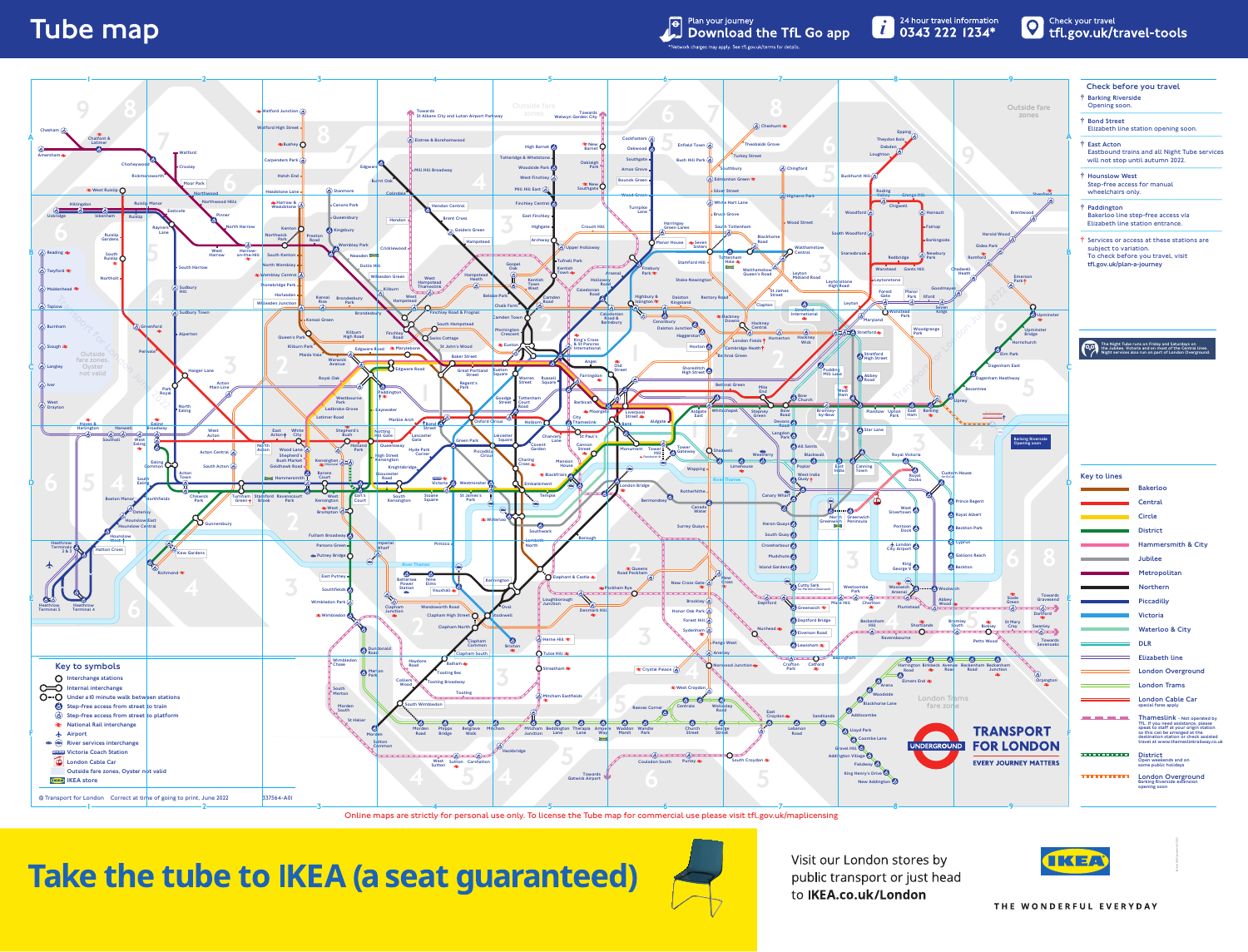## **Tube map**

Plan your journey<br>Download the TfL Go app



Online maps are strictly for personal use only. To license the Tube map for commercial use please visit tfl.gov.uk/maplicensing

Take the tube to IKEA (a seat guaranteed)



Visit our London stores by public transport or just head to IKEA.co.uk/London